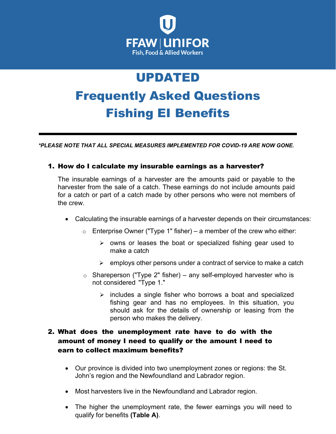

# UPDATED Frequently Asked Questions Fishing EI Benefits

*\*PLEASE NOTE THAT ALL SPECIAL MEASURES IMPLEMENTED FOR COVID-19 ARE NOW GONE.*

## 1. How do I calculate my insurable earnings as a harvester?

The insurable earnings of a harvester are the amounts paid or payable to the harvester from the sale of a catch. These earnings do not include amounts paid for a catch or part of a catch made by other persons who were not members of the crew.

- Calculating the insurable earnings of a harvester depends on their circumstances:
	- $\circ$  Enterprise Owner ("Type 1" fisher) a member of the crew who either:
		- $\triangleright$  owns or leases the boat or specialized fishing gear used to make a catch
		- $\triangleright$  employs other persons under a contract of service to make a catch
	- $\circ$  Shareperson ("Type 2" fisher) any self-employed harvester who is not considered "Type 1."
		- $\triangleright$  includes a single fisher who borrows a boat and specialized fishing gear and has no employees. In this situation, you should ask for the details of ownership or leasing from the person who makes the delivery.

## 2. What does the unemployment rate have to do with the amount of money I need to qualify or the amount I need to earn to collect maximum benefits?

- Our province is divided into two unemployment zones or regions: the St. John's region and the Newfoundland and Labrador region.
- Most harvesters live in the Newfoundland and Labrador region.
- The higher the unemployment rate, the fewer earnings you will need to qualify for benefits **(Table A)**.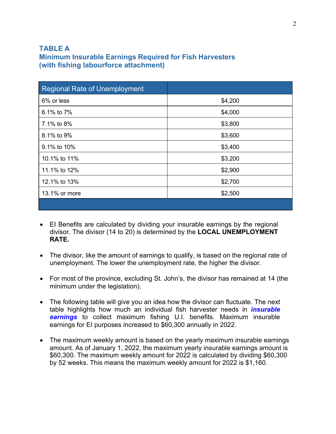## **TABLE A Minimum Insurable Earnings Required for Fish Harvesters (with fishing labourforce attachment)**

| <b>Regional Rate of Unemployment</b> |         |
|--------------------------------------|---------|
| 6% or less                           | \$4,200 |
| 6.1% to 7%                           | \$4,000 |
| 7.1% to 8%                           | \$3,800 |
| 8.1% to 9%                           | \$3,600 |
| 9.1% to 10%                          | \$3,400 |
| 10.1% to 11%                         | \$3,200 |
| 11.1% to 12%                         | \$2,900 |
| 12.1% to 13%                         | \$2,700 |
| 13.1% or more                        | \$2,500 |
|                                      |         |

- EI Benefits are calculated by dividing your insurable earnings by the regional divisor. The divisor (14 to 20) is determined by the **LOCAL UNEMPLOYMENT RATE.**
- The divisor, like the amount of earnings to qualify, is based on the regional rate of unemployment. The lower the unemployment rate, the higher the divisor.
- For most of the province, excluding St. John's, the divisor has remained at 14 (the minimum under the legislation).
- The following table will give you an idea how the divisor can fluctuate. The next table highlights how much an individual fish harvester needs in *insurable earnings* to collect maximum fishing U.I. benefits. Maximum insurable earnings for EI purposes increased to \$60,300 annually in 2022.
- The maximum weekly amount is based on the yearly maximum insurable earnings amount. As of January 1, 2022, the maximum yearly insurable earnings amount is \$60,300. The maximum weekly amount for 2022 is calculated by dividing \$60,300 by 52 weeks. This means the maximum weekly amount for 2022 is \$1,160.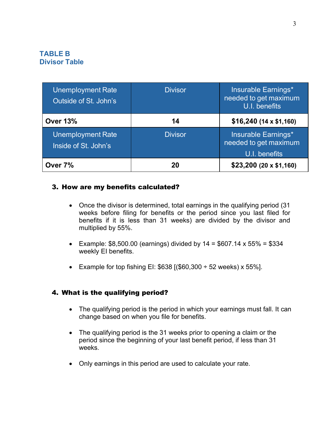## **TABLE B Divisor Table**

| <b>Unemployment Rate</b><br>Outside of St. John's | <b>Divisor</b> | Insurable Earnings*<br>needed to get maximum<br>U.I. benefits        |  |
|---------------------------------------------------|----------------|----------------------------------------------------------------------|--|
| <b>Over 13%</b>                                   | 14             | $$16,240$ (14 x \$1,160)                                             |  |
| <b>Unemployment Rate</b><br>Inside of St. John's  | <b>Divisor</b> | <b>Insurable Earnings*</b><br>needed to get maximum<br>U.I. benefits |  |
| Over 7%                                           | 20             | $$23,200$ (20 x \$1,160)                                             |  |

#### 3. How are my benefits calculated?

- Once the divisor is determined, total earnings in the qualifying period (31 weeks before filing for benefits or the period since you last filed for benefits if it is less than 31 weeks) are divided by the divisor and multiplied by 55%.
- Example:  $$8,500.00$  (earnings) divided by  $14 = $607.14 \times 55\% = $334$ weekly EI benefits.
- Example for top fishing EI:  $$638$  [( $$60,300 \div 52$  weeks) x 55%].

#### 4. What is the qualifying period?

- The qualifying period is the period in which your earnings must fall. It can change based on when you file for benefits.
- The qualifying period is the 31 weeks prior to opening a claim or the period since the beginning of your last benefit period, if less than 31 weeks.
- Only earnings in this period are used to calculate your rate.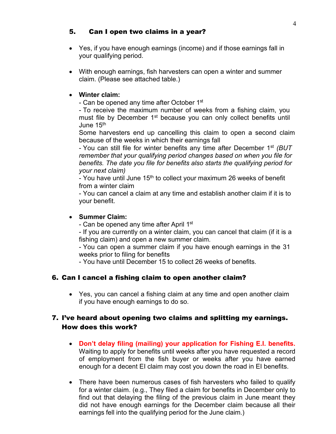#### 5. Can I open two claims in a year?

- Yes, if you have enough earnings (income) and if those earnings fall in your qualifying period.
- With enough earnings, fish harvesters can open a winter and summer claim. (Please see attached table.)

#### • **Winter claim:**

- Can be opened any time after October 1<sup>st</sup>

- To receive the maximum number of weeks from a fishing claim, you must file by December 1<sup>st</sup> because you can only collect benefits until June 15th

Some harvesters end up cancelling this claim to open a second claim because of the weeks in which their earnings fall

- You can still file for winter benefits any time after December 1st *(BUT remember that your qualifying period changes based on when you file for benefits. The date you file for benefits also starts the qualifying period for your next claim)*

- You have until June 15<sup>th</sup> to collect your maximum 26 weeks of benefit from a winter claim

- You can cancel a claim at any time and establish another claim if it is to your benefit.

#### • **Summer Claim:**

- Can be opened any time after April 1<sup>st</sup>

- If you are currently on a winter claim, you can cancel that claim (if it is a fishing claim) and open a new summer claim.

- You can open a summer claim if you have enough earnings in the 31 weeks prior to filing for benefits

- You have until December 15 to collect 26 weeks of benefits.

#### 6. Can I cancel a fishing claim to open another claim?

• Yes, you can cancel a fishing claim at any time and open another claim if you have enough earnings to do so.

## 7. I've heard about opening two claims and splitting my earnings. How does this work?

- **Don't delay filing (mailing) your application for Fishing E.I. benefits.**  Waiting to apply for benefits until weeks after you have requested a record of employment from the fish buyer or weeks after you have earned enough for a decent EI claim may cost you down the road in EI benefits.
- There have been numerous cases of fish harvesters who failed to qualify for a winter claim. (e.g., They filed a claim for benefits in December only to find out that delaying the filing of the previous claim in June meant they did not have enough earnings for the December claim because all their earnings fell into the qualifying period for the June claim.)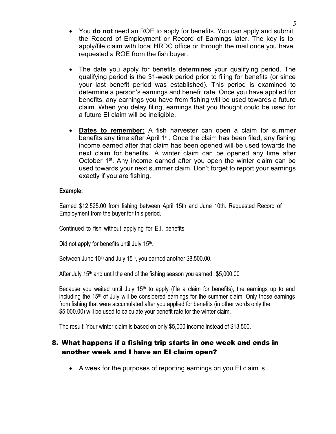- You **do not** need an ROE to apply for benefits. You can apply and submit the Record of Employment or Record of Earnings later. The key is to apply/file claim with local HRDC office or through the mail once you have requested a ROE from the fish buyer.
- The date you apply for benefits determines your qualifying period. The qualifying period is the 31-week period prior to filing for benefits (or since your last benefit period was established). This period is examined to determine a person's earnings and benefit rate. Once you have applied for benefits, any earnings you have from fishing will be used towards a future claim. When you delay filing, earnings that you thought could be used for a future EI claim will be ineligible.
- **Dates to remember:** A fish harvester can open a claim for summer benefits any time after April  $1<sup>st</sup>$ . Once the claim has been filed, any fishing income earned after that claim has been opened will be used towards the next claim for benefits. A winter claim can be opened any time after October 1<sup>st</sup>. Any income earned after you open the winter claim can be used towards your next summer claim. Don't forget to report your earnings exactly if you are fishing.

#### **Example:**

Earned \$12,525.00 from fishing between April 15th and June 10th. Requested Record of Employment from the buyer for this period.

Continued to fish without applying for E.I. benefits.

Did not apply for benefits until July 15<sup>th</sup>.

Between June 10<sup>th</sup> and July 15<sup>th</sup>, you earned another \$8,500.00.

After July 15<sup>th</sup> and until the end of the fishing season you earned \$5,000.00

Because you waited until July 15<sup>th</sup> to apply (file a claim for benefits), the earnings up to and including the 15<sup>th</sup> of July will be considered earnings for the summer claim. Only those earnings from fishing that were accumulated after you applied for benefits (in other words only the \$5,000.00) will be used to calculate your benefit rate for the winter claim.

The result: Your winter claim is based on only \$5,000 income instead of \$13,500.

## 8. What happens if a fishing trip starts in one week and ends in another week and I have an EI claim open?

• A week for the purposes of reporting earnings on you EI claim is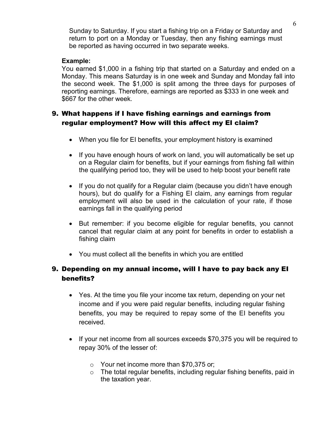Sunday to Saturday. If you start a fishing trip on a Friday or Saturday and return to port on a Monday or Tuesday, then any fishing earnings must be reported as having occurred in two separate weeks.

#### **Example:**

You earned \$1,000 in a fishing trip that started on a Saturday and ended on a Monday. This means Saturday is in one week and Sunday and Monday fall into the second week. The \$1,000 is split among the three days for purposes of reporting earnings. Therefore, earnings are reported as \$333 in one week and \$667 for the other week.

# 9. What happens if I have fishing earnings and earnings from regular employment? How will this affect my EI claim?

- When you file for EI benefits, your employment history is examined
- If you have enough hours of work on land, you will automatically be set up on a Regular claim for benefits, but if your earnings from fishing fall within the qualifying period too, they will be used to help boost your benefit rate
- If you do not qualify for a Regular claim (because you didn't have enough hours), but do qualify for a Fishing EI claim, any earnings from regular employment will also be used in the calculation of your rate, if those earnings fall in the qualifying period
- But remember: if you become eligible for regular benefits, you cannot cancel that regular claim at any point for benefits in order to establish a fishing claim
- You must collect all the benefits in which you are entitled

# 9. Depending on my annual income, will I have to pay back any EI benefits?

- Yes. At the time you file your income tax return, depending on your net income and if you were paid regular benefits, including regular fishing benefits, you may be required to repay some of the EI benefits you received.
- If your net income from all sources exceeds \$70,375 you will be required to repay 30% of the lesser of:
	- o Your net income more than \$70,375 or;
	- o The total regular benefits, including regular fishing benefits, paid in the taxation year.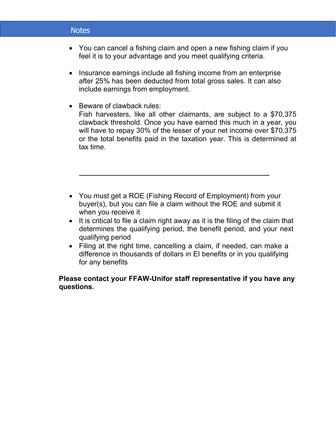## **Notes**

• You can cancel a fishing claim and open a new fishing claim if you feel it is to your advantage and you meet qualifying criteria.

7

- Insurance earnings include all fishing income from an enterprise after 25% has been deducted from total gross sales. It can also include earnings from employment.
- Beware of clawback rules: Fish harvesters, like all other claimants, are subject to a \$70,375 clawback threshold. Once you have earned this much in a year, you will have to repay 30% of the lesser of your net income over \$70,375 or the total benefits paid in the taxation year. This is determined at tax time.
- You must get a ROE (Fishing Record of Employment) from your buyer(s), but you can file a claim without the ROE and submit it when you receive it
- It is critical to file a claim right away as it is the filing of the claim that determines the qualifying period, the benefit period, and your next qualifying period
- Filing at the right time, cancelling a claim, if needed, can make a difference in thousands of dollars in EI benefits or in you qualifying for any benefits

#### **Please contact your FFAW-Unifor staff representative if you have any questions.**